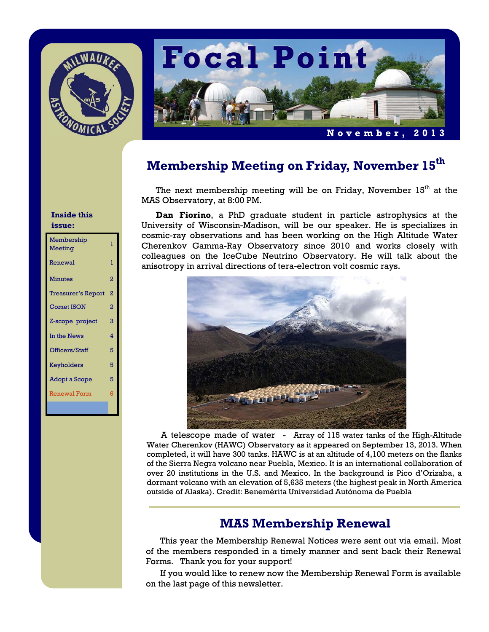



# **Membership Meeting on Friday, November 15th**

The next membership meeting will be on Friday, November  $15<sup>th</sup>$  at the MAS Observatory, at 8:00 PM.

**Dan Fiorino**, a PhD graduate student in particle astrophysics at the University of Wisconsin-Madison, will be our speaker. He is specializes in cosmic-ray observations and has been working on the High Altitude Water Cherenkov Gamma-Ray Observatory since 2010 and works closely with colleagues on the IceCube Neutrino Observatory. He will talk about the anisotropy in arrival directions of tera-electron volt cosmic rays.



A telescope made of water - Array of 115 water tanks of the High-Altitude Water Cherenkov (HAWC) Observatory as it appeared on September 13, 2013. When completed, it will have 300 tanks. HAWC is at an altitude of 4,100 meters on the flanks of the Sierra Negra volcano near Puebla, Mexico. It is an international collaboration of over 20 institutions in the U.S. and Mexico. In the background is Pico d'Orizaba, a dormant volcano with an elevation of 5,635 meters (the highest peak in North America outside of Alaska). Credit: Benemérita Universidad Autónoma de Puebla

## **MAS Membership Renewal**

This year the Membership Renewal Notices were sent out via email. Most of the members responded in a timely manner and sent back their Renewal Forms. Thank you for your support!

 If you would like to renew now the Membership Renewal Form is available on the last page of this newsletter.

### **Inside this issue:**

| Membership<br>Meeting     | ı              |
|---------------------------|----------------|
| Renewal                   | T              |
| <b>Minutes</b>            | 2              |
| <b>Treasurer's Report</b> | 2              |
| <b>Comet ISON</b>         | $\overline{2}$ |
| Z-scope project           | 3              |
| In the News               | 4              |
| Officers/Staff            | 5              |
| Keyholders                | 5              |
| <b>Adopt a Scope</b>      | 5              |
| <b>Renewal Form</b>       | 6              |
|                           |                |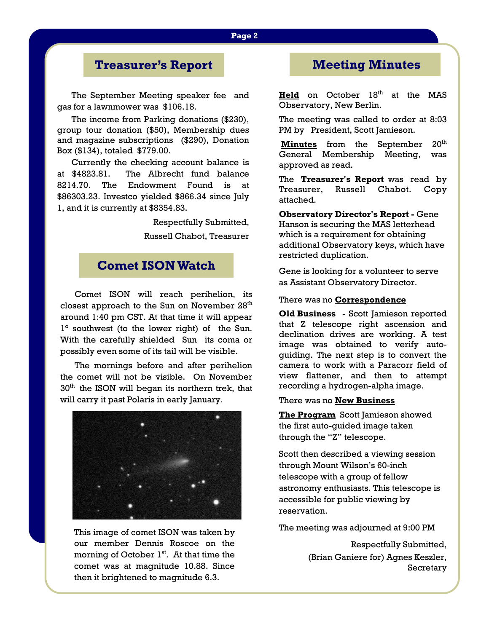# **Treasurer's Report**

The September Meeting speaker fee and gas for a lawnmower was \$106.18.

 The income from Parking donations (\$230), group tour donation (\$50), Membership dues and magazine subscriptions (\$290), Donation Box (\$134), totaled \$779.00.

 Currently the checking account balance is at \$4823.81. The Albrecht fund balance 8214.70. The Endowment Found is at \$86303.23. Investco yielded \$866.34 since July 1, and it is currently at \$8354.83.

> Respectfully Submitted, Russell Chabot, Treasurer

## **Comet ISON Watch**

Comet ISON will reach perihelion, its closest approach to the Sun on November 28<sup>th</sup> around 1:40 pm CST. At that time it will appear 1° southwest (to the lower right) of the Sun. With the carefully shielded Sun its coma or possibly even some of its tail will be visible.

 The mornings before and after perihelion the comet will not be visible. On November  $30<sup>th</sup>$  the ISON will began its northern trek, that will carry it past Polaris in early January.



This image of comet ISON was taken by our member Dennis Roscoe on the morning of October  $1<sup>st</sup>$ . At that time the comet was at magnitude 10.88. Since then it brightened to magnitude 6.3.

## **Meeting Minutes**

**Held** on October 18<sup>th</sup> at the MAS Observatory, New Berlin.

The meeting was called to order at 8:03 PM by President, Scott Jamieson.

**Minutes** from the September 20<sup>th</sup> General Membership Meeting, was approved as read.

The **Treasurer's Report** was read by Treasurer, Russell Chabot. Copy attached.

**Observatory Director's Report - Gene** Hanson is securing the MAS letterhead which is a requirement for obtaining additional Observatory keys, which have restricted duplication.

Gene is looking for a volunteer to serve as Assistant Observatory Director.

### There was no **Correspondence**

**Old Business** - Scott Jamieson reported that Z telescope right ascension and declination drives are working. A test image was obtained to verify autoguiding. The next step is to convert the camera to work with a Paracorr field of view flattener, and then to attempt recording a hydrogen-alpha image.

### There was no **New Business**

**The Program** Scott Jamieson showed the first auto-guided image taken through the "Z" telescope.

Scott then described a viewing session through Mount Wilson's 60-inch telescope with a group of fellow astronomy enthusiasts. This telescope is accessible for public viewing by reservation.

The meeting was adjourned at 9:00 PM

Respectfully Submitted, (Brian Ganiere for) Agnes Keszler, Secretary

### **Page 2**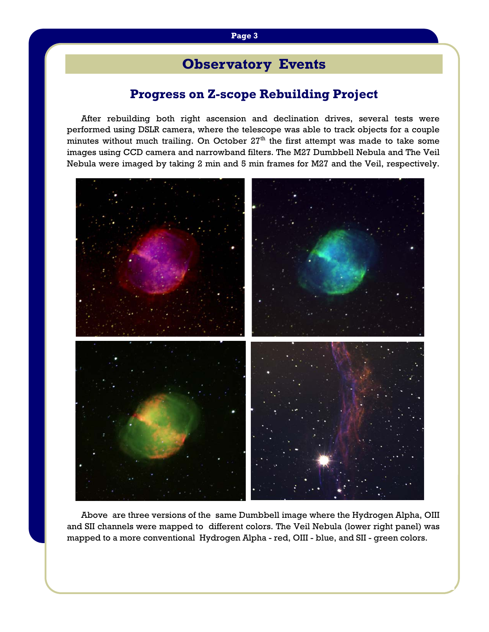# **Observatory Events**

# **Progress on Z-scope Rebuilding Project**

After rebuilding both right ascension and declination drives, several tests were performed using DSLR camera, where the telescope was able to track objects for a couple minutes without much trailing. On October  $27<sup>th</sup>$  the first attempt was made to take some images using CCD camera and narrowband filters. The M27 Dumbbell Nebula and The Veil Nebula were imaged by taking 2 min and 5 min frames for M27 and the Veil, respectively.



 Above are three versions of the same Dumbbell image where the Hydrogen Alpha, OIII and SII channels were mapped to different colors. The Veil Nebula (lower right panel) was mapped to a more conventional Hydrogen Alpha - red, OIII - blue, and SII - green colors.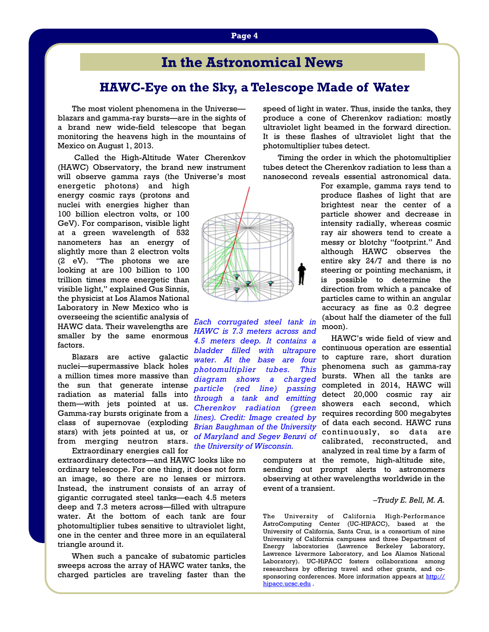# **In the Astronomical News**

### **HAWC-Eye on the Sky, a Telescope Made of Water**

*4.5 meters deep. It contains a bladder filled with ultrapure water. At the base are four photomultiplier tubes. This diagram shows a charged particle (red line) passing through a tank and emitting Cherenkov radiation (green lines). Credit: Image created by Brian Baughman of the University* 

*the University of Wisconsin.*

The most violent phenomena in the Universe blazars and gamma-ray bursts—are in the sights of a brand new wide-field telescope that began monitoring the heavens high in the mountains of Mexico on August 1, 2013.

 Called the High-Altitude Water Cherenkov (HAWC) Observatory, the brand new instrument will observe gamma rays (the Universe's most

energetic photons) and high energy cosmic rays (protons and nuclei with energies higher than 100 billion electron volts, or 100 GeV). For comparison, visible light at a green wavelength of 532 nanometers has an energy of slightly more than 2 electron volts (2 eV). "The photons we are looking at are 100 billion to 100 trillion times more energetic than visible light," explained Gus Sinnis, the physicist at Los Alamos National Laboratory in New Mexico who is overseeing the scientific analysis of HAWC data. Their wavelengths are smaller by the same enormous factors.

 Blazars are active galactic nuclei—supermassive black holes a million times more massive than the sun that generate intense radiation as material falls into them—with jets pointed at us. Gamma-ray bursts originate from a class of supernovae (exploding stars) with jets pointed at us, or from merging neutron stars. Extraordinary energies call for

extraordinary detectors—and HAWC looks like no ordinary telescope. For one thing, it does not form an image, so there are no lenses or mirrors. Instead, the instrument consists of an array of gigantic corrugated steel tanks—each 4.5 meters deep and 7.3 meters across—filled with ultrapure water. At the bottom of each tank are four photomultiplier tubes sensitive to ultraviolet light, one in the center and three more in an equilateral triangle around it.

 When such a pancake of subatomic particles sweeps across the array of HAWC water tanks, the charged particles are traveling faster than the

speed of light in water. Thus, inside the tanks, they produce a cone of Cherenkov radiation: mostly ultraviolet light beamed in the forward direction. It is these flashes of ultraviolet light that the photomultiplier tubes detect.

 Timing the order in which the photomultiplier tubes detect the Cherenkov radiation to less than a nanosecond reveals essential astronomical data.



 HAWC's wide field of view and continuous operation are essential to capture rare, short duration phenomena such as gamma-ray bursts. When all the tanks are completed in 2014, HAWC will detect 20,000 cosmic ray air showers each second, which requires recording 500 megabytes of data each second. HAWC runs continuously, so data are calibrated, reconstructed, and analyzed in real time by a farm of computers at the remote, high-altitude site, sending out prompt alerts to astronomers observing at other wavelengths worldwide in the *of Maryland and Segev Benzvi of* 

#### *–Trudy E. Bell, M. A.*

The University of California High-Performance AstroComputing Center (UC-HIPACC), based at the University of California, Santa Cruz, is a consortium of nine University of California campuses and three Department of Energy laboratories (Lawrence Berkeley Laboratory, Lawrence Livermore Laboratory, and Los Alamos National Laboratory). UC-HiPACC fosters collaborations among researchers by offering travel and other grants, and cosponsoring conferences. More information appears at http:// hipacc.ucsc.edu .

event of a transient.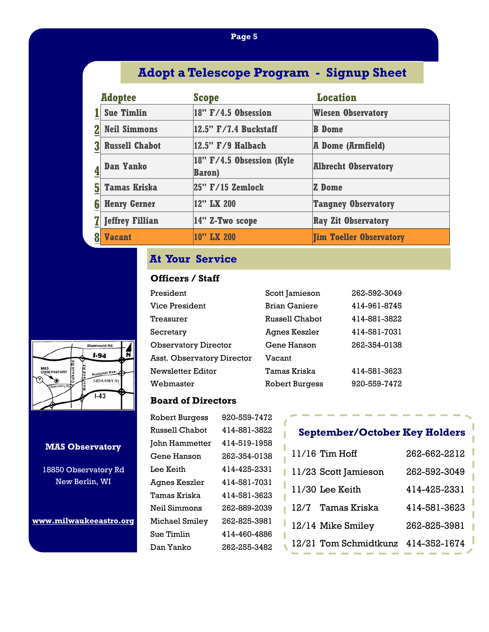### **Page 5**

# **Adopt a Telescope Program - Signup Sheet**

|   | <b>Adoptee</b>         | <b>Scope</b>                                    | <b>Location</b>                |
|---|------------------------|-------------------------------------------------|--------------------------------|
|   | <b>Sue Timlin</b>      | $18''$ F/4.5 Obsession                          | <b>Wiesen Observatory</b>      |
|   | <b>Neil Simmons</b>    | 12.5" F/7.4 Buckstaff                           | <b>B</b> Dome                  |
|   | <b>Russell Chabot</b>  | $ 12.5"$ $F/9$ Halbach                          | <b>A Dome (Armfield)</b>       |
|   | <b>Dan Yanko</b>       | $ 18"$ F/4.5 Obsession (Kyle)<br><b>Baron</b> ) | <b>Albrecht Observatory</b>    |
| 5 | <b>Tamas Kriska</b>    | $ 25"$ F/15 Zemlock                             | <b>Z</b> Dome                  |
| 6 | <b>Henry Gerner</b>    | 12" LX 200                                      | <b>Tangney Observatory</b>     |
|   | <b>Jeffrey Fillian</b> | 14" Z-Two scope                                 | <b>Ray Zit Observatory</b>     |
|   | <b>Vacant</b>          | 10" LX 200                                      | <b>Jim Toeller Observatory</b> |

## **At Your Service**

### **Officers / Staff**

| President                   | Scott Jamieson        | 262-592-3049 |
|-----------------------------|-----------------------|--------------|
| Vice President              | <b>Brian Ganiere</b>  | 414-961-8745 |
| Treasurer                   | Russell Chabot        | 414-881-3822 |
| Secretary                   | Agnes Keszler         | 414-581-7031 |
| <b>Observatory Director</b> | Gene Hanson           | 262-354-0138 |
| Asst. Observatory Director  | Vacant                |              |
| Newsletter Editor           | Tamas Kriska          | 414-581-3623 |
| Webmaster                   | <b>Robert Burgess</b> | 920-559-7472 |

### **Board of Directors**

| <b>Robert Burgess</b> | 920-559-7472 |
|-----------------------|--------------|
| <b>Russell Chabot</b> | 414-881-3822 |
| John Hammetter        | 414-519-1958 |
| Gene Hanson           | 262-354-0138 |
| Lee Keith             | 414-425-2331 |
| Agnes Keszler         | 414-581-7031 |
| Tamas Kriska          | 414-581-3623 |
| Neil Simmons          | 262-889-2039 |
| Michael Smiley        | 262-825-3981 |
| Sue Timlin            | 414-460-4886 |
| Dan Yanko             | 262-255-3482 |
|                       |              |

# **September/October Key Holders**

| $11/16$ Tim Hoff                   | 262-662-2212 |
|------------------------------------|--------------|
| 11/23 Scott Jamieson               | 262-592-3049 |
| 11/30 Lee Keith                    | 414-425-2331 |
| 12/7 Tamas Kriska                  | 414-581-3623 |
| 12/14 Mike Smiley                  | 262-825-3981 |
| 12/21 Tom Schmidtkunz 414-352-1674 |              |



### **MAS Observatory**

18850 Observatory Rd New Berlin, WI

**www.milwaukeeastro.org**